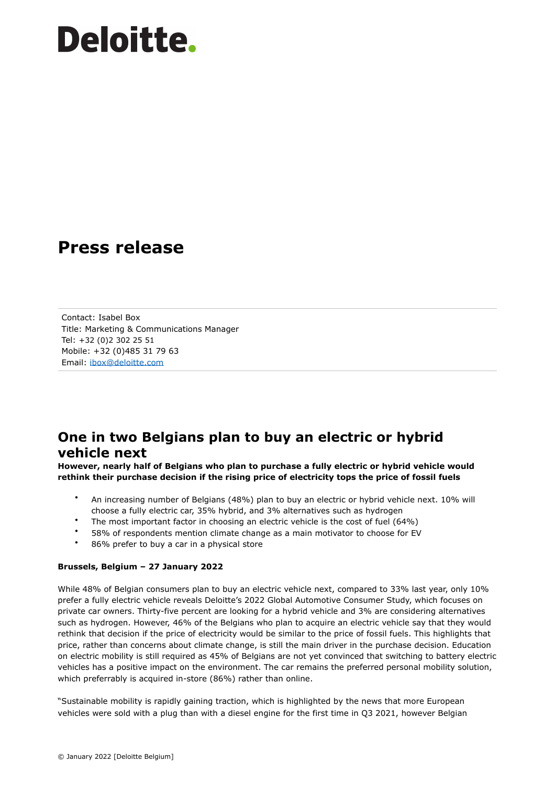### **Press release**

Contact: Isabel Box Title: Marketing & Communications Manager Tel: +32 (0)2 302 25 51 Mobile: +32 (0)485 31 79 63 Email: [ibox@deloitte.com](mailto:ibox@deloitte.com)

### **One in two Belgians plan to buy an electric or hybrid vehicle next**

**However, nearly half of Belgians who plan to purchase a fully electric or hybrid vehicle would rethink their purchase decision if the rising price of electricity tops the price of fossil fuels**

- An increasing number of Belgians (48%) plan to buy an electric or hybrid vehicle next. 10% will choose a fully electric car, 35% hybrid, and 3% alternatives such as hydrogen
- The most important factor in choosing an electric vehicle is the cost of fuel (64%)
- 58% of respondents mention climate change as a main motivator to choose for EV
- 86% prefer to buy a car in a physical store

#### **Brussels, Belgium – 27 January 2022**

While 48% of Belgian consumers plan to buy an electric vehicle next, compared to 33% last year, only 10% prefer a fully electric vehicle reveals Deloitte's 2022 Global Automotive Consumer Study, which focuses on private car owners. Thirty-five percent are looking for a hybrid vehicle and 3% are considering alternatives such as hydrogen. However, 46% of the Belgians who plan to acquire an electric vehicle say that they would rethink that decision if the price of electricity would be similar to the price of fossil fuels. This highlights that price, rather than concerns about climate change, is still the main driver in the purchase decision. Education on electric mobility is still required as 45% of Belgians are not yet convinced that switching to battery electric vehicles has a positive impact on the environment. The car remains the preferred personal mobility solution, which preferrably is acquired in-store (86%) rather than online.

"Sustainable mobility is rapidly gaining traction, which is highlighted by the news that more European vehicles were sold with a plug than with a diesel engine for the first time in Q3 2021, however Belgian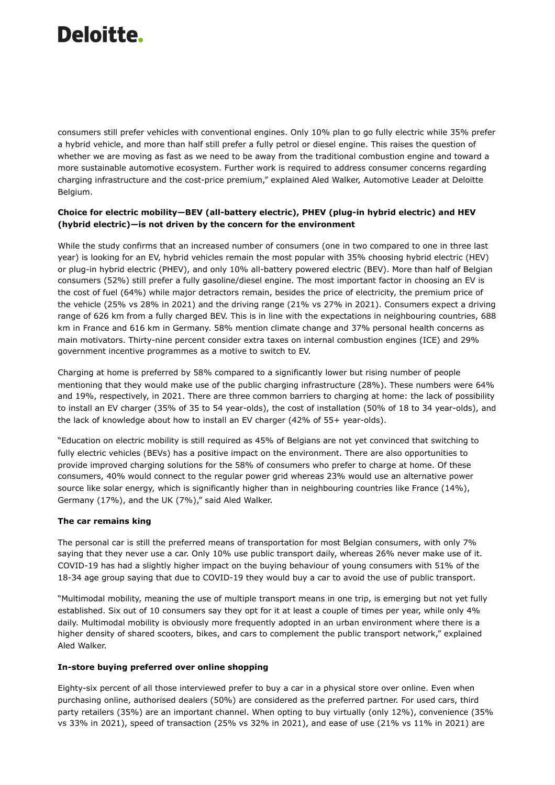consumers still prefer vehicles with conventional engines. Only 10% plan to go fully electric while 35% prefer a hybrid vehicle, and more than half still prefer a fully petrol or diesel engine. This raises the question of whether we are moving as fast as we need to be away from the traditional combustion engine and toward a more sustainable automotive ecosystem. Further work is required to address consumer concerns regarding charging infrastructure and the cost-price premium," explained Aled Walker, Automotive Leader at Deloitte Belgium.

#### **Choice for electric mobility—BEV (all-battery electric), PHEV (plug-in hybrid electric) and HEV (hybrid electric)—is not driven by the concern for the environment**

While the study confirms that an increased number of consumers (one in two compared to one in three last year) is looking for an EV, hybrid vehicles remain the most popular with 35% choosing hybrid electric (HEV) or plug-in hybrid electric (PHEV), and only 10% all-battery powered electric (BEV). More than half of Belgian consumers (52%) still prefer a fully gasoline/diesel engine. The most important factor in choosing an EV is the cost of fuel (64%) while major detractors remain, besides the price of electricity, the premium price of the vehicle (25% vs 28% in 2021) and the driving range (21% vs 27% in 2021). Consumers expect a driving range of 626 km from a fully charged BEV. This is in line with the expectations in neighbouring countries, 688 km in France and 616 km in Germany. 58% mention climate change and 37% personal health concerns as main motivators. Thirty-nine percent consider extra taxes on internal combustion engines (ICE) and 29% government incentive programmes as a motive to switch to EV.

Charging at home is preferred by 58% compared to a significantly lower but rising number of people mentioning that they would make use of the public charging infrastructure (28%). These numbers were 64% and 19%, respectively, in 2021. There are three common barriers to charging at home: the lack of possibility to install an EV charger (35% of 35 to 54 year-olds), the cost of installation (50% of 18 to 34 year-olds), and the lack of knowledge about how to install an EV charger (42% of 55+ year-olds).

"Education on electric mobility is still required as 45% of Belgians are not yet convinced that switching to fully electric vehicles (BEVs) has a positive impact on the environment. There are also opportunities to provide improved charging solutions for the 58% of consumers who prefer to charge at home. Of these consumers, 40% would connect to the regular power grid whereas 23% would use an alternative power source like solar energy, which is significantly higher than in neighbouring countries like France (14%), Germany (17%), and the UK (7%)," said Aled Walker.

#### **The car remains king**

The personal car is still the preferred means of transportation for most Belgian consumers, with only 7% saying that they never use a car. Only 10% use public transport daily, whereas 26% never make use of it. COVID-19 has had a slightly higher impact on the buying behaviour of young consumers with 51% of the 18-34 age group saying that due to COVID-19 they would buy a car to avoid the use of public transport.

"Multimodal mobility, meaning the use of multiple transport means in one trip, is emerging but not yet fully established. Six out of 10 consumers say they opt for it at least a couple of times per year, while only 4% daily. Multimodal mobility is obviously more frequently adopted in an urban environment where there is a higher density of shared scooters, bikes, and cars to complement the public transport network," explained Aled Walker.

#### **In-store buying preferred over online shopping**

Eighty-six percent of all those interviewed prefer to buy a car in a physical store over online. Even when purchasing online, authorised dealers (50%) are considered as the preferred partner. For used cars, third party retailers (35%) are an important channel. When opting to buy virtually (only 12%), convenience (35% vs 33% in 2021), speed of transaction (25% vs 32% in 2021), and ease of use (21% vs 11% in 2021) are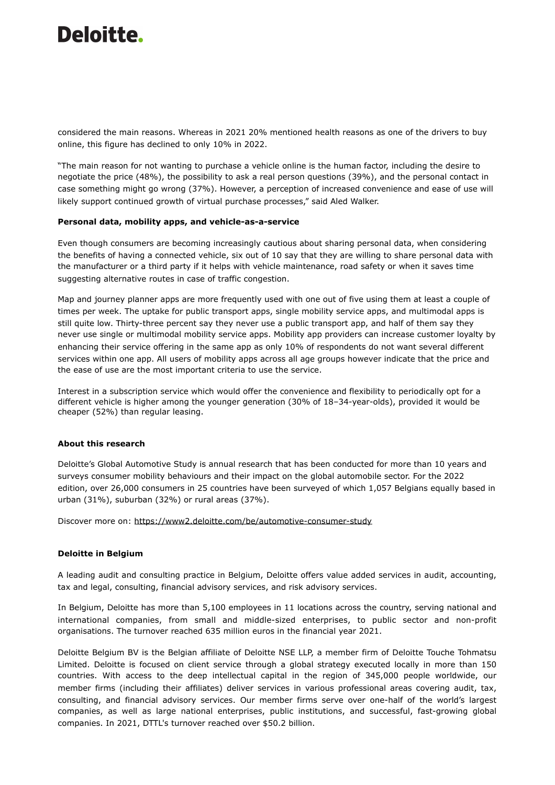considered the main reasons. Whereas in 2021 20% mentioned health reasons as one of the drivers to buy online, this figure has declined to only 10% in 2022.

"The main reason for not wanting to purchase a vehicle online is the human factor, including the desire to negotiate the price (48%), the possibility to ask a real person questions (39%), and the personal contact in case something might go wrong (37%). However, a perception of increased convenience and ease of use will likely support continued growth of virtual purchase processes," said Aled Walker.

#### **Personal data, mobility apps, and vehicle-as-a-service**

Even though consumers are becoming increasingly cautious about sharing personal data, when considering the benefits of having a connected vehicle, six out of 10 say that they are willing to share personal data with the manufacturer or a third party if it helps with vehicle maintenance, road safety or when it saves time suggesting alternative routes in case of traffic congestion.

Map and journey planner apps are more frequently used with one out of five using them at least a couple of times per week. The uptake for public transport apps, single mobility service apps, and multimodal apps is still quite low. Thirty-three percent say they never use a public transport app, and half of them say they never use single or multimodal mobility service apps. Mobility app providers can increase customer loyalty by enhancing their service offering in the same app as only 10% of respondents do not want several different services within one app. All users of mobility apps across all age groups however indicate that the price and the ease of use are the most important criteria to use the service.

Interest in a subscription service which would offer the convenience and flexibility to periodically opt for a different vehicle is higher among the younger generation (30% of 18–34-year-olds), provided it would be cheaper (52%) than regular leasing.

#### **About this research**

Deloitte's Global Automotive Study is annual research that has been conducted for more than 10 years and surveys consumer mobility behaviours and their impact on the global automobile sector. For the 2022 edition, over 26,000 consumers in 25 countries have been surveyed of which 1,057 Belgians equally based in urban (31%), suburban (32%) or rural areas (37%).

Discover more on: <https://www2.deloitte.com/be/automotive-consumer-study>

#### **Deloitte in Belgium**

A leading audit and consulting practice in Belgium, Deloitte offers value added services in audit, accounting, tax and legal, consulting, financial advisory services, and risk advisory services.

In Belgium, Deloitte has more than 5,100 employees in 11 locations across the country, serving national and international companies, from small and middle-sized enterprises, to public sector and non-profit organisations. The turnover reached 635 million euros in the financial year 2021.

Deloitte Belgium BV is the Belgian affiliate of Deloitte NSE LLP, a member firm of Deloitte Touche Tohmatsu Limited. Deloitte is focused on client service through a global strategy executed locally in more than 150 countries. With access to the deep intellectual capital in the region of 345,000 people worldwide, our member firms (including their affiliates) deliver services in various professional areas covering audit, tax, consulting, and financial advisory services. Our member firms serve over one-half of the world's largest companies, as well as large national enterprises, public institutions, and successful, fast-growing global companies. In 2021, DTTL's turnover reached over \$50.2 billion.